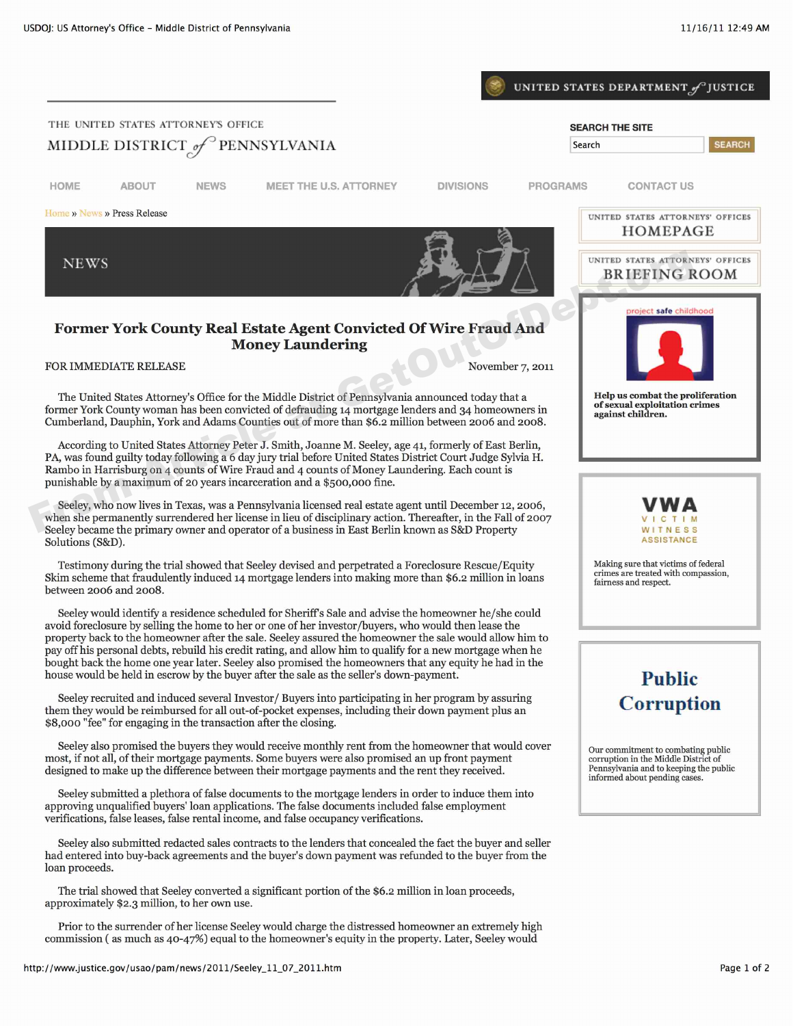